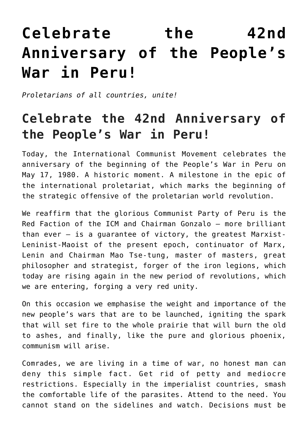## **[Celebrate the 42nd](https://ci-ic.org/blog/2022/05/17/celebrate-the-42nd-anniversary-of-the-peoples-war-in-peru/) [Anniversary of the People's](https://ci-ic.org/blog/2022/05/17/celebrate-the-42nd-anniversary-of-the-peoples-war-in-peru/) [War in Peru!](https://ci-ic.org/blog/2022/05/17/celebrate-the-42nd-anniversary-of-the-peoples-war-in-peru/)**

*Proletarians of all countries, unite!*

## **Celebrate the 42nd Anniversary of the People's War in Peru!**

Today, the International Communist Movement celebrates the anniversary of the beginning of the People's War in Peru on May 17, 1980. A historic moment. A milestone in the epic of the international proletariat, which marks the beginning of the strategic offensive of the proletarian world revolution.

We reaffirm that the glorious Communist Party of Peru is the Red Faction of the ICM and Chairman Gonzalo – more brilliant than ever – is a guarantee of victory, the greatest Marxist-Leninist-Maoist of the present epoch, continuator of Marx, Lenin and Chairman Mao Tse-tung, master of masters, great philosopher and strategist, forger of the iron legions, which today are rising again in the new period of revolutions, which we are entering, forging a very red unity.

On this occasion we emphasise the weight and importance of the new people's wars that are to be launched, igniting the spark that will set fire to the whole prairie that will burn the old to ashes, and finally, like the pure and glorious phoenix, communism will arise.

Comrades, we are living in a time of war, no honest man can deny this simple fact. Get rid of petty and mediocre restrictions. Especially in the imperialist countries, smash the comfortable life of the parasites. Attend to the need. You cannot stand on the sidelines and watch. Decisions must be